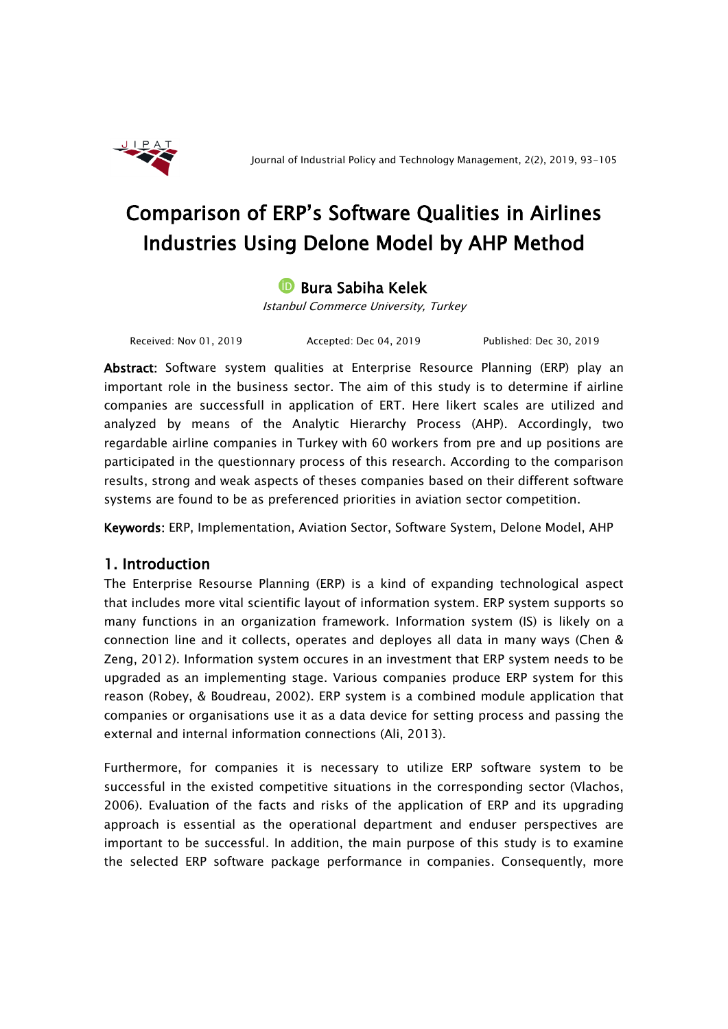

# Comparison of ERP's Software Qualities in Airlines Industries Using Delone Model by AHP Method

## **D** Bura Sabiha Kelek

Istanbul Commerce University, Turkey

Received: Nov 01, 2019 Accepted: Dec 04, 2019 Published: Dec 30, 2019

Abstract: Software system qualities at Enterprise Resource Planning (ERP) play an important role in the business sector. The aim of this study is to determine if airline companies are successfull in application of ERT. Here likert scales are utilized and analyzed by means of the Analytic Hierarchy Process (AHP). Accordingly, two regardable airline companies in Turkey with 60 workers from pre and up positions are participated in the questionnary process of this research. According to the comparison results, strong and weak aspects of theses companies based on their different software systems are found to be as preferenced priorities in aviation sector competition.

Keywords: ERP, Implementation, Aviation Sector, Software System, Delone Model, AHP

## 1. Introduction

The Enterprise Resourse Planning (ERP) is a kind of expanding technological aspect that includes more vital scientific layout of information system. ERP system supports so many functions in an organization framework. Information system (IS) is likely on a connection line and it collects, operates and deployes all data in many ways (Chen & Zeng, 2012). Information system occures in an investment that ERP system needs to be upgraded as an implementing stage. Various companies produce ERP system for this reason (Robey, & Boudreau, 2002). ERP system is a combined module application that companies or organisations use it as a data device for setting process and passing the external and internal information connections (Ali, 2013).

Furthermore, for companies it is necessary to utilize ERP software system to be successful in the existed competitive situations in the corresponding sector (Vlachos, 2006). Evaluation of the facts and risks of the application of ERP and its upgrading approach is essential as the operational department and enduser perspectives are important to be successful. In addition, the main purpose of this study is to examine the selected ERP software package performance in companies. Consequently, more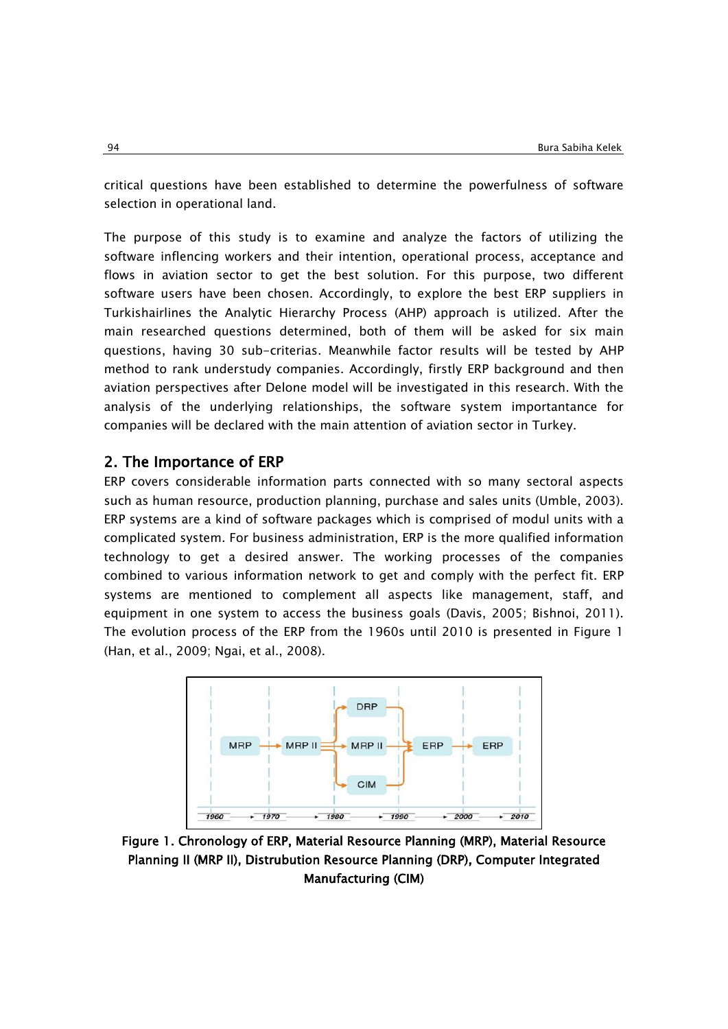critical questions have been established to determine the powerfulness of software selection in operational land.

The purpose of this study is to examine and analyze the factors of utilizing the software inflencing workers and their intention, operational process, acceptance and flows in aviation sector to get the best solution. For this purpose, two different software users have been chosen. Accordingly, to explore the best ERP suppliers in Turkishairlines the Analytic Hierarchy Process (AHP) approach is utilized. After the main researched questions determined, both of them will be asked for six main questions, having 30 sub-criterias. Meanwhile factor results will be tested by AHP method to rank understudy companies. Accordingly, firstly ERP background and then aviation perspectives after Delone model will be investigated in this research. With the analysis of the underlying relationships, the software system importantance for companies will be declared with the main attention of aviation sector in Turkey.

#### 2. The Importance of ERP

ERP covers considerable information parts connected with so many sectoral aspects such as human resource, production planning, purchase and sales units (Umble, 2003). ERP systems are a kind of software packages which is comprised of modul units with a complicated system. For business administration, ERP is the more qualified information technology to get a desired answer. The working processes of the companies combined to various information network to get and comply with the perfect fit. ERP systems are mentioned to complement all aspects like management, staff, and equipment in one system to access the business goals (Davis, 2005; Bishnoi, 2011). The evolution process of the ERP from the 1960s until 2010 is presented in Figure 1 (Han, et al., 2009; Ngai, et al., 2008).



Figure 1. Chronology of ERP, Material Resource Planning (MRP), Material Resource Planning II (MRP II), Distrubution Resource Planning (DRP), Computer Integrated Manufacturing (CIM)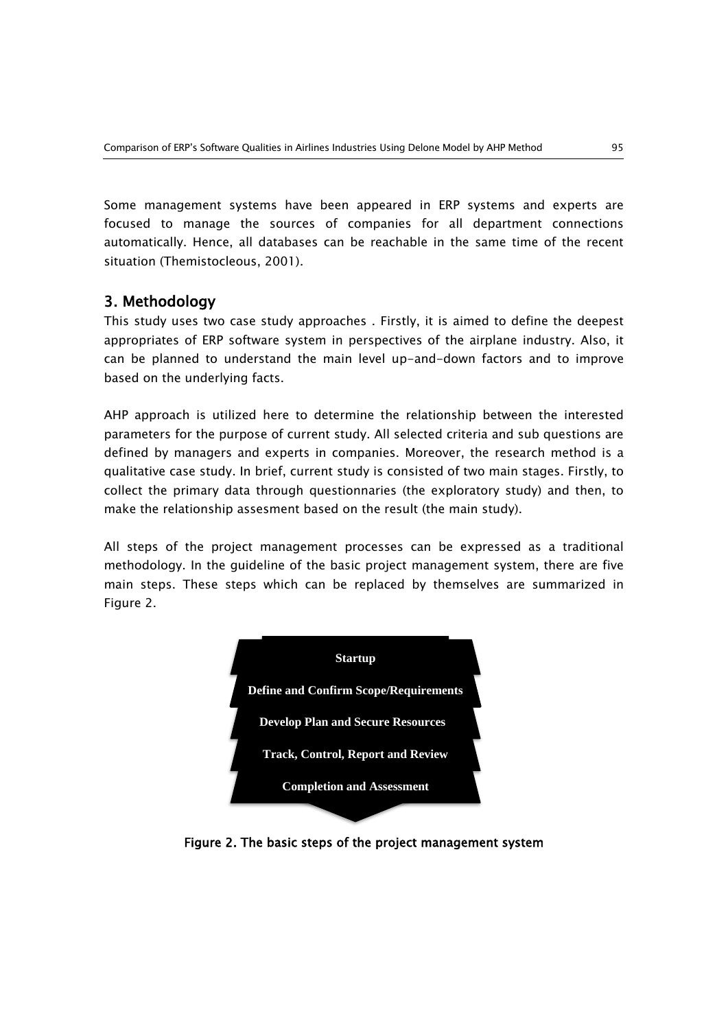Some management systems have been appeared in ERP systems and experts are focused to manage the sources of companies for all department connections automatically. Hence, all databases can be reachable in the same time of the recent situation (Themistocleous, 2001).

## 3. Methodology

This study uses two case study approaches . Firstly, it is aimed to define the deepest appropriates of ERP software system in perspectives of the airplane industry. Also, it can be planned to understand the main level up-and-down factors and to improve based on the underlying facts.

AHP approach is utilized here to determine the relationship between the interested parameters for the purpose of current study. All selected criteria and sub questions are defined by managers and experts in companies. Moreover, the research method is a qualitative case study. In brief, current study is consisted of two main stages. Firstly, to collect the primary data through questionnaries (the exploratory study) and then, to make the relationship assesment based on the result (the main study).

All steps of the project management processes can be expressed as a traditional methodology. In the guideline of the basic project management system, there are five main steps. These steps which can be replaced by themselves are summarized in Figure 2.



Figure 2. The basic steps of the project management system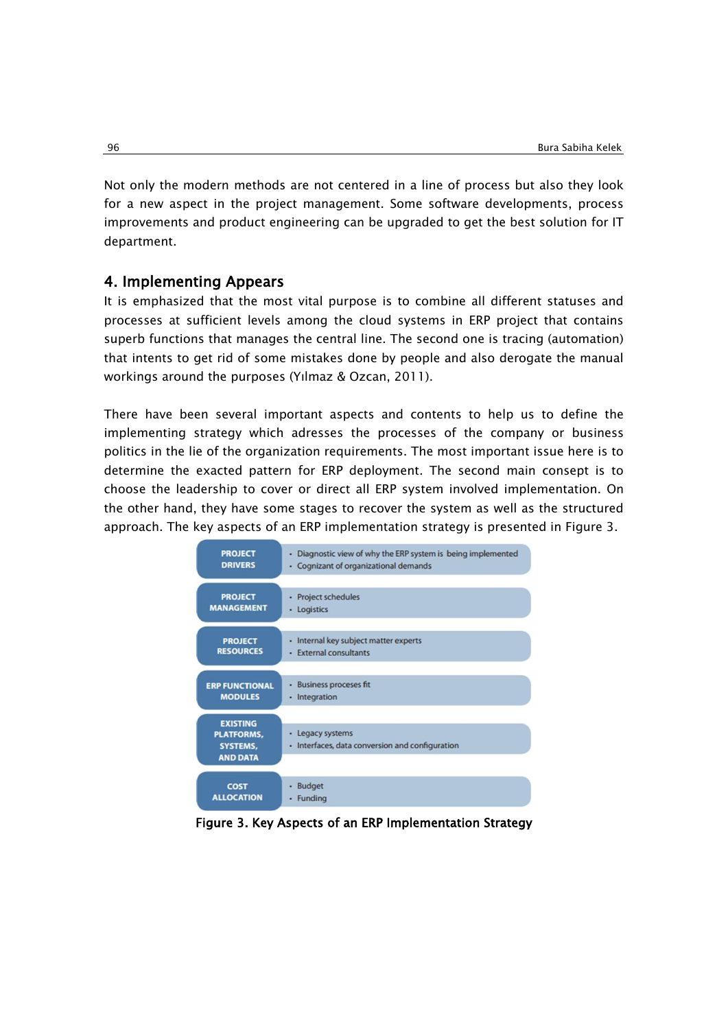Not only the modern methods are not centered in a line of process but also they look for a new aspect in the project management. Some software developments, process improvements and product engineering can be upgraded to get the best solution for IT department.

#### 4. Implementing Appears

It is emphasized that the most vital purpose is to combine all different statuses and processes at sufficient levels among the cloud systems in ERP project that contains superb functions that manages the central line. The second one is tracing (automation) that intents to get rid of some mistakes done by people and also derogate the manual workings around the purposes (Yılmaz & Ozcan, 2011).

There have been several important aspects and contents to help us to define the implementing strategy which adresses the processes of the company or business politics in the lie of the organization requirements. The most important issue here is to determine the exacted pattern for ERP deployment. The second main consept is to choose the leadership to cover or direct all ERP system involved implementation. On the other hand, they have some stages to recover the system as well as the structured approach. The key aspects of an ERP implementation strategy is presented in Figure 3.



Figure 3. Key Aspects of an ERP Implementation Strategy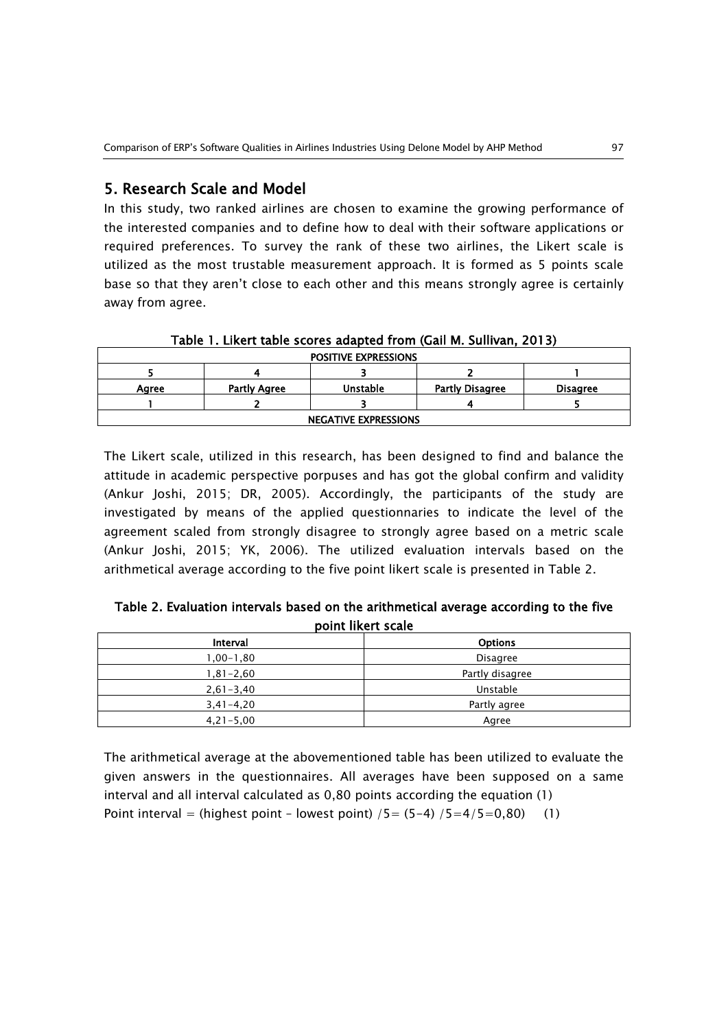#### 5. Research Scale and Model

In this study, two ranked airlines are chosen to examine the growing performance of the interested companies and to define how to deal with their software applications or required preferences. To survey the rank of these two airlines, the Likert scale is utilized as the most trustable measurement approach. It is formed as 5 points scale base so that they aren't close to each other and this means strongly agree is certainly away from agree.

| <b>POSITIVE EXPRESSIONS</b>                                                    |  |  |  |  |  |  |  |
|--------------------------------------------------------------------------------|--|--|--|--|--|--|--|
|                                                                                |  |  |  |  |  |  |  |
| <b>Unstable</b><br>Partly Agree<br>Partly Disagree<br><b>Disagree</b><br>Aaree |  |  |  |  |  |  |  |
|                                                                                |  |  |  |  |  |  |  |
| <b>NEGATIVE EXPRESSIONS</b>                                                    |  |  |  |  |  |  |  |

Table 1. Likert table scores adapted from (Gail M. Sullivan, 2013)

The Likert scale, utilized in this research, has been designed to find and balance the attitude in academic perspective porpuses and has got the global confirm and validity (Ankur Joshi, 2015; DR, 2005). Accordingly, the participants of the study are investigated by means of the applied questionnaries to indicate the level of the agreement scaled from strongly disagree to strongly agree based on a metric scale (Ankur Joshi, 2015; YK, 2006). The utilized evaluation intervals based on the arithmetical average according to the five point likert scale is presented in Table 2.

| Table 2. Evaluation intervals based on the arithmetical average according to the five |
|---------------------------------------------------------------------------------------|
| point likert scale                                                                    |

| Interval      | <b>Options</b>  |
|---------------|-----------------|
| 80,1–00,1     | <b>Disagree</b> |
| 1,81-2,60     | Partly disagree |
| $2,61 - 3,40$ | Unstable        |
| $3,41 - 4,20$ | Partly agree    |
| $4,21 - 5,00$ | Agree           |

The arithmetical average at the abovementioned table has been utilized to evaluate the given answers in the questionnaires. All averages have been supposed on a same interval and all interval calculated as 0,80 points according the equation (1) Point interval = (highest point - lowest point)  $/5 = (5-4) / 5 = 4/5 = 0,80$  (1)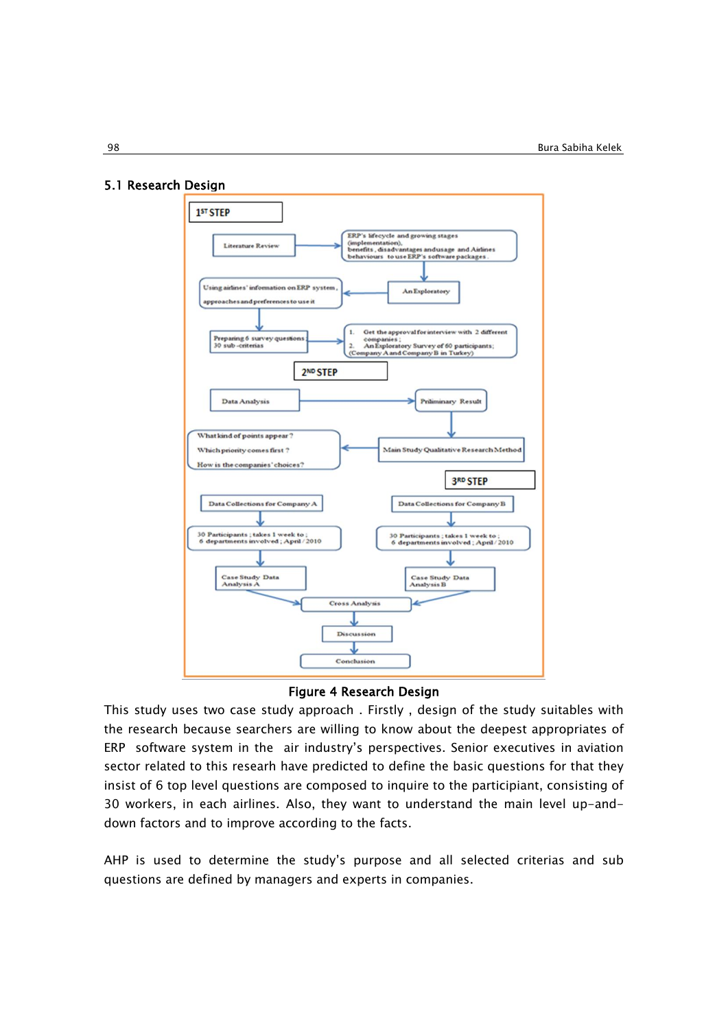#### 5.1 Research Design



#### Figure 4 Research Design

This study uses two case study approach . Firstly , design of the study suitables with the research because searchers are willing to know about the deepest appropriates of ERP software system in the air industry's perspectives. Senior executives in aviation sector related to this researh have predicted to define the basic questions for that they insist of 6 top level questions are composed to inquire to the participiant, consisting of 30 workers, in each airlines. Also, they want to understand the main level up-anddown factors and to improve according to the facts.

AHP is used to determine the study's purpose and all selected criterias and sub questions are defined by managers and experts in companies.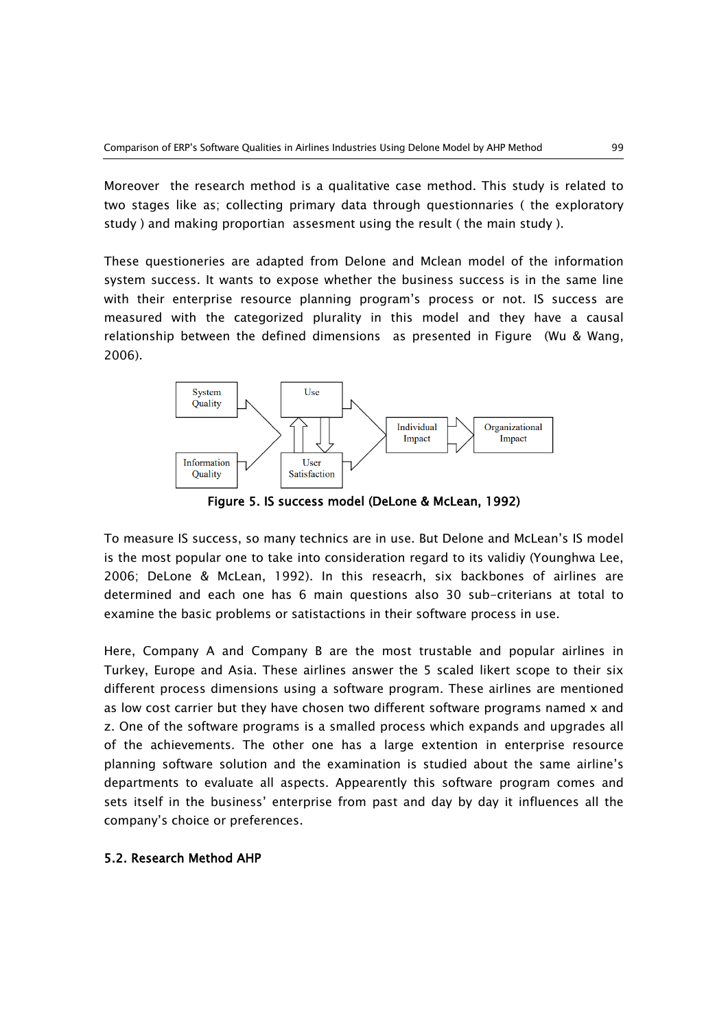Moreover the research method is a qualitative case method. This study is related to two stages like as; collecting primary data through questionnaries ( the exploratory study ) and making proportian assesment using the result ( the main study ).

These questioneries are adapted from Delone and Mclean model of the information system success. It wants to expose whether the business success is in the same line with their enterprise resource planning program's process or not. IS success are measured with the categorized plurality in this model and they have a causal relationship between the defined dimensions as presented in Figure (Wu & Wang, 2006).



Figure 5. IS success model (DeLone & McLean, 1992)

To measure IS success, so many technics are in use. But Delone and McLean's IS model is the most popular one to take into consideration regard to its validiy (Younghwa Lee, 2006; DeLone & McLean, 1992). In this reseacrh, six backbones of airlines are determined and each one has 6 main questions also 30 sub-criterians at total to examine the basic problems or satistactions in their software process in use.

Here, Company A and Company B are the most trustable and popular airlines in Turkey, Europe and Asia. These airlines answer the 5 scaled likert scope to their six different process dimensions using a software program. These airlines are mentioned as low cost carrier but they have chosen two different software programs named  $x$  and z. One of the software programs is a smalled process which expands and upgrades all of the achievements. The other one has a large extention in enterprise resource planning software solution and the examination is studied about the same airline's departments to evaluate all aspects. Appearently this software program comes and sets itself in the business' enterprise from past and day by day it influences all the company's choice or preferences.

#### 5.2. Research Method AHP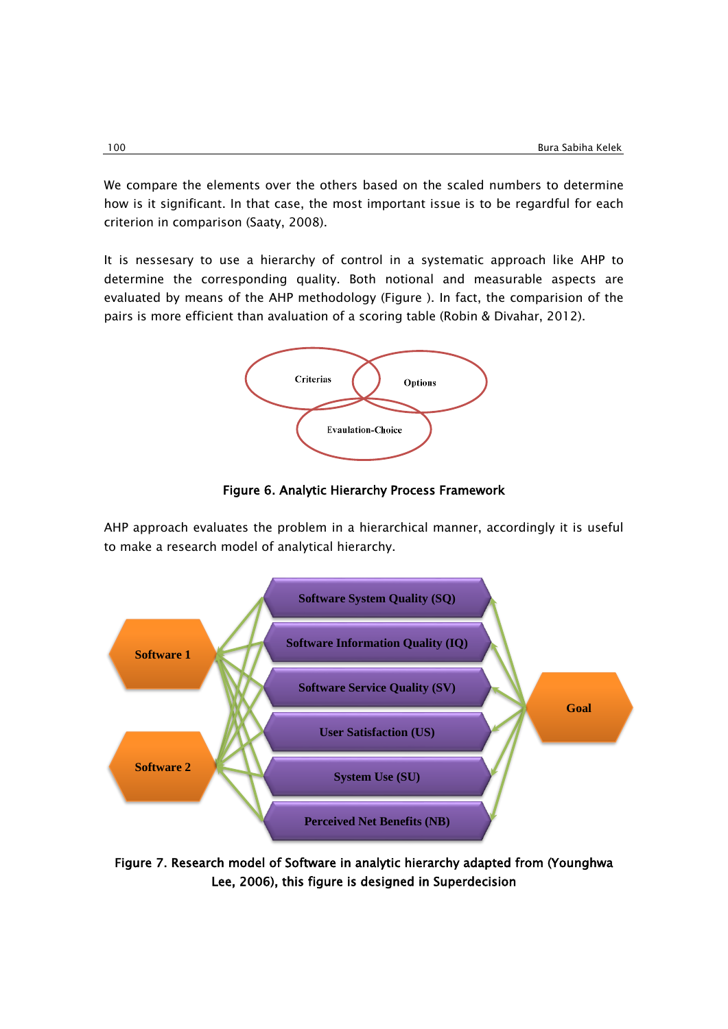We compare the elements over the others based on the scaled numbers to determine how is it significant. In that case, the most important issue is to be regardful for each criterion in comparison (Saaty, 2008).

It is nessesary to use a hierarchy of control in a systematic approach like AHP to determine the corresponding quality. Both notional and measurable aspects are evaluated by means of the AHP methodology (Figure ). In fact, the comparision of the pairs is more efficient than avaluation of a scoring table (Robin & Divahar, 2012).



Figure 6. Analytic Hierarchy Process Framework

AHP approach evaluates the problem in a hierarchical manner, accordingly it is useful to make a research model of analytical hierarchy.



Figure 7. Research model of Software in analytic hierarchy adapted from (Younghwa Lee, 2006), this figure is designed in Superdecision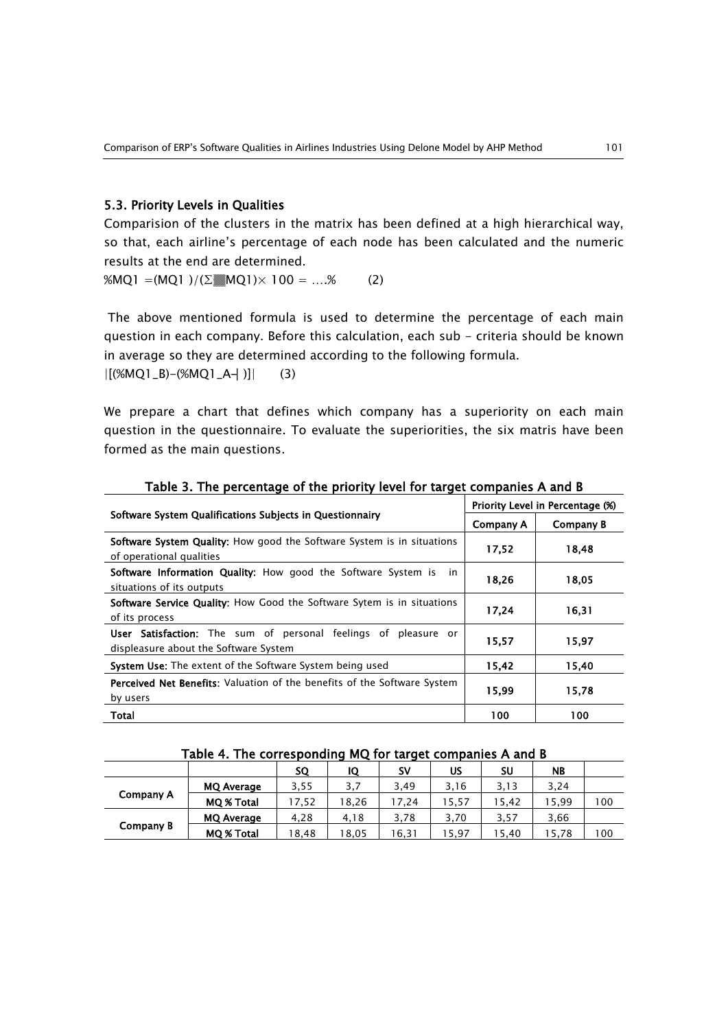#### 5.3. Priority Levels in Qualities

Comparision of the clusters in the matrix has been defined at a high hierarchical way, so that, each airline's percentage of each node has been calculated and the numeric results at the end are determined.

%MQ1 =(MQ1)/( $\Sigma$  MQ1)× 100 = ....% (2)

The above mentioned formula is used to determine the percentage of each main question in each company. Before this calculation, each sub - criteria should be known in average so they are determined according to the following formula.

|[(%MQ1\_B)-(%MQ1\_A┤)]| (3)

We prepare a chart that defines which company has a superiority on each main question in the questionnaire. To evaluate the superiorities, the six matris have been formed as the main questions.

|                                                                                                           | Priority Level in Percentage (%) |           |  |  |
|-----------------------------------------------------------------------------------------------------------|----------------------------------|-----------|--|--|
| Software System Qualifications Subjects in Questionnairy                                                  | Company A                        | Company B |  |  |
| <b>Software System Quality:</b> How good the Software System is in situations<br>of operational qualities | 17,52                            | 18.48     |  |  |
| <b>Software Information Quality:</b> How good the Software System is<br>in.<br>situations of its outputs  | 18,26                            | 18,05     |  |  |
| <b>Software Service Quality:</b> How Good the Software Sytem is in situations<br>of its process           | 17.24                            | 16.31     |  |  |
| User Satisfaction: The sum of personal feelings of pleasure or<br>displeasure about the Software System   | 15,57                            | 15,97     |  |  |
| <b>System Use:</b> The extent of the Software System being used                                           | 15,42                            | 15,40     |  |  |
| <b>Perceived Net Benefits:</b> Valuation of the benefits of the Software System<br>by users               | 15,99                            | 15,78     |  |  |
| Total                                                                                                     | 100                              | 100       |  |  |

#### Table 3. The percentage of the priority level for target companies A and B

| Table 4. The corresponding MQ for target companies A and B |  |  |
|------------------------------------------------------------|--|--|
|                                                            |  |  |

|           |                   |       | .     |           |       |      |           |     |
|-----------|-------------------|-------|-------|-----------|-------|------|-----------|-----|
|           |                   | SQ    | IQ    | <b>SV</b> | US    | SU   | <b>NB</b> |     |
|           | <b>MQ Average</b> | 3,55  | 3,7   | 3,49      | 3,16  | 3,13 | 3,24      |     |
| Company A | <b>MQ % Total</b> | 17,52 | 18.26 | 17.24     | 15,57 | 5.42 | 15,99     | 100 |
|           | MQ Average        | 4.28  | 4.18  | 3.78      | 3.70  | 3,57 | 3.66      |     |
| Company B | MQ % Total        | 18.48 | 18.05 | 6,31      | 15.97 | 5.40 | 15,78     | 100 |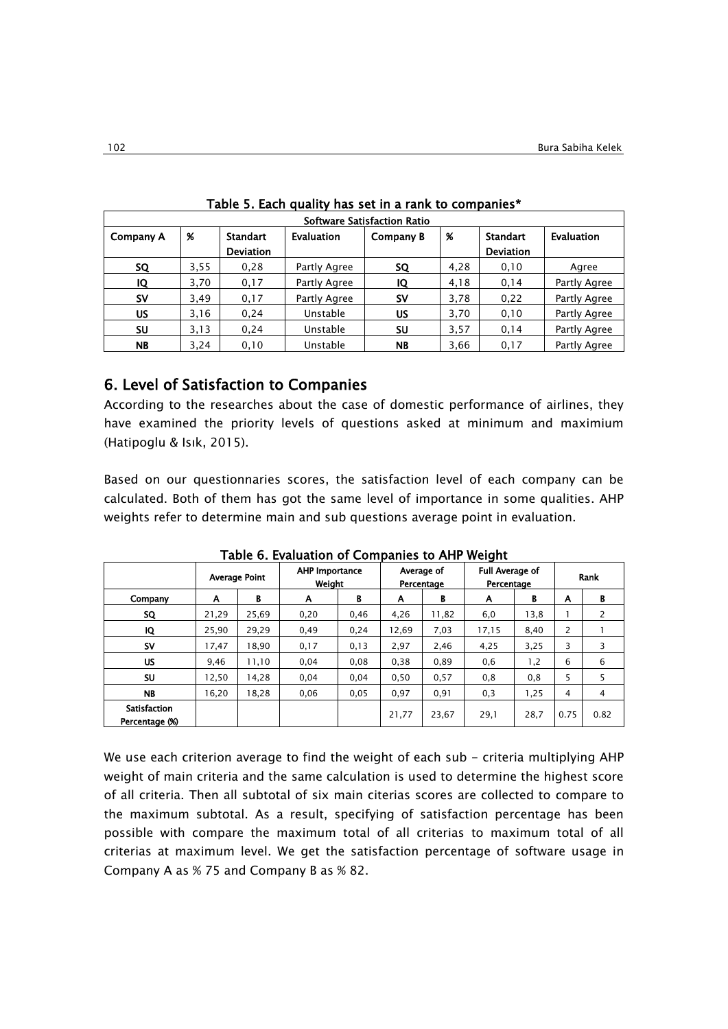|           | Software Satisfaction Ratio |                  |                   |           |      |                  |              |  |
|-----------|-----------------------------|------------------|-------------------|-----------|------|------------------|--------------|--|
| Company A | %                           | <b>Standart</b>  | <b>Evaluation</b> | Company B | %    | Standart         | Evaluation   |  |
|           |                             | <b>Deviation</b> |                   |           |      | <b>Deviation</b> |              |  |
| <b>SQ</b> | 3,55                        | 0,28             | Partly Agree      | <b>SQ</b> | 4,28 | 0,10             | Agree        |  |
| IQ        | 3,70                        | 0,17             | Partly Agree      | IQ        | 4,18 | 0,14             | Partly Agree |  |
| <b>SV</b> | 3,49                        | 0,17             | Partly Agree      | <b>SV</b> | 3,78 | 0,22             | Partly Agree |  |
| US        | 3,16                        | 0,24             | Unstable          | US        | 3,70 | 0,10             | Partly Agree |  |
| <b>SU</b> | 3,13                        | 0,24             | Unstable          | SU        | 3,57 | 0,14             | Partly Agree |  |
| <b>NB</b> | 3,24                        | 0,10             | Unstable          | <b>NB</b> | 3,66 | 0,17             | Partly Agree |  |

|  | Table 5. Each quality has set in a rank to companies* |  |  |  |
|--|-------------------------------------------------------|--|--|--|
|--|-------------------------------------------------------|--|--|--|

### 6. Level of Satisfaction to Companies

According to the researches about the case of domestic performance of airlines, they have examined the priority levels of questions asked at minimum and maximium (Hatipoglu & Isık, 2015).

Based on our questionnaries scores, the satisfaction level of each company can be calculated. Both of them has got the same level of importance in some qualities. AHP weights refer to determine main and sub questions average point in evaluation.

|                     |       | $1$ wwit yi Efwigation of Configuration to $1$ the<br>,,,,,,,, |                          |      |       |                          |                                      |      |                |      |
|---------------------|-------|----------------------------------------------------------------|--------------------------|------|-------|--------------------------|--------------------------------------|------|----------------|------|
|                     |       | <b>Average Point</b>                                           | AHP Importance<br>Weight |      |       | Average of<br>Percentage | <b>Full Average of</b><br>Percentage |      |                | Rank |
| Company             | A     | В                                                              | A                        | B    | A     | В                        | A                                    | в    | A              | В    |
| SQ                  | 21.29 | 25.69                                                          | 0,20                     | 0.46 | 4,26  | 11,82                    | 6,0                                  | 13,8 |                | 2    |
| IQ                  | 25,90 | 29,29                                                          | 0,49                     | 0,24 | 12,69 | 7,03                     | 17,15                                | 8,40 | $\overline{2}$ |      |
| <b>SV</b>           | 17.47 | 18,90                                                          | 0,17                     | 0,13 | 2,97  | 2,46                     | 4,25                                 | 3,25 | 3              | 3    |
| <b>US</b>           | 9.46  | 11,10                                                          | 0,04                     | 0,08 | 0,38  | 0,89                     | 0,6                                  | 1,2  | 6              | 6    |
| SU                  | 12,50 | 14,28                                                          | 0,04                     | 0,04 | 0,50  | 0,57                     | 0,8                                  | 0,8  | 5.             | 5    |
| <b>NB</b>           | 16,20 | 18,28                                                          | 0,06                     | 0,05 | 0,97  | 0,91                     | 0,3                                  | 1,25 | 4              | 4    |
| <b>Satisfaction</b> |       |                                                                |                          |      | 21,77 | 23,67                    |                                      | 28,7 | 0.75           | 0.82 |
| Percentage (%)      |       |                                                                |                          |      |       |                          | 29,1                                 |      |                |      |

Table 6. Evaluation of Companies to AHP Weight

We use each criterion average to find the weight of each sub - criteria multiplying AHP weight of main criteria and the same calculation is used to determine the highest score of all criteria. Then all subtotal of six main citerias scores are collected to compare to the maximum subtotal. As a result, specifying of satisfaction percentage has been possible with compare the maximum total of all criterias to maximum total of all criterias at maximum level. We get the satisfaction percentage of software usage in Company A as % 75 and Company B as % 82.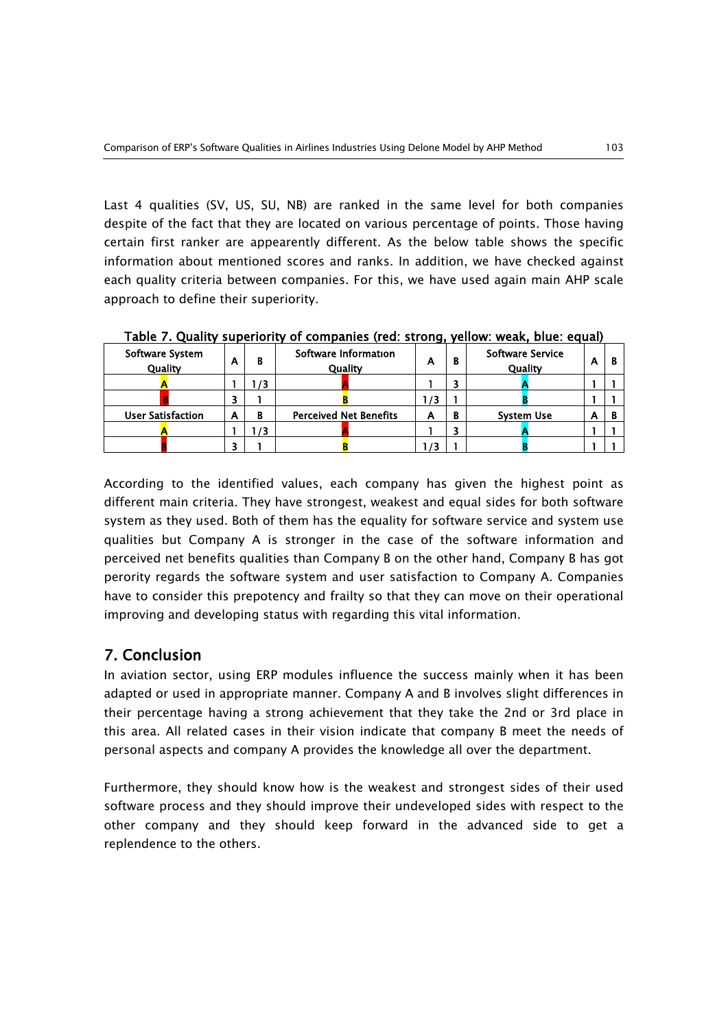Last 4 qualities (SV, US, SU, NB) are ranked in the same level for both companies despite of the fact that they are located on various percentage of points. Those having certain first ranker are appearently different. As the below table shows the specific information about mentioned scores and ranks. In addition, we have checked against each quality criteria between companies. For this, we have used again main AHP scale approach to define their superiority.

| <b>Software System</b><br>Quality | А | в  | Software Information<br>Quality | А | В | <b>Software Service</b><br>Quality | A |  |
|-----------------------------------|---|----|---------------------------------|---|---|------------------------------------|---|--|
|                                   |   | 73 |                                 |   |   |                                    |   |  |
|                                   |   |    |                                 |   |   |                                    |   |  |
| <b>User Satisfaction</b>          | А | в  | <b>Perceived Net Benefits</b>   | А | B | <b>System Use</b>                  | А |  |
|                                   |   | 73 |                                 |   | 3 |                                    |   |  |
|                                   |   |    |                                 |   |   |                                    |   |  |

Table 7. Quality superiority of companies (red: strong, yellow: weak, blue: equal)

According to the identified values, each company has given the highest point as different main criteria. They have strongest, weakest and equal sides for both software system as they used. Both of them has the equality for software service and system use qualities but Company A is stronger in the case of the software information and perceived net benefits qualities than Company B on the other hand, Company B has got perority regards the software system and user satisfaction to Company A. Companies have to consider this prepotency and frailty so that they can move on their operational improving and developing status with regarding this vital information.

## 7. Conclusion

In aviation sector, using ERP modules influence the success mainly when it has been adapted or used in appropriate manner. Company A and B involves slight differences in their percentage having a strong achievement that they take the 2nd or 3rd place in this area. All related cases in their vision indicate that company B meet the needs of personal aspects and company A provides the knowledge all over the department.

Furthermore, they should know how is the weakest and strongest sides of their used software process and they should improve their undeveloped sides with respect to the other company and they should keep forward in the advanced side to get a replendence to the others.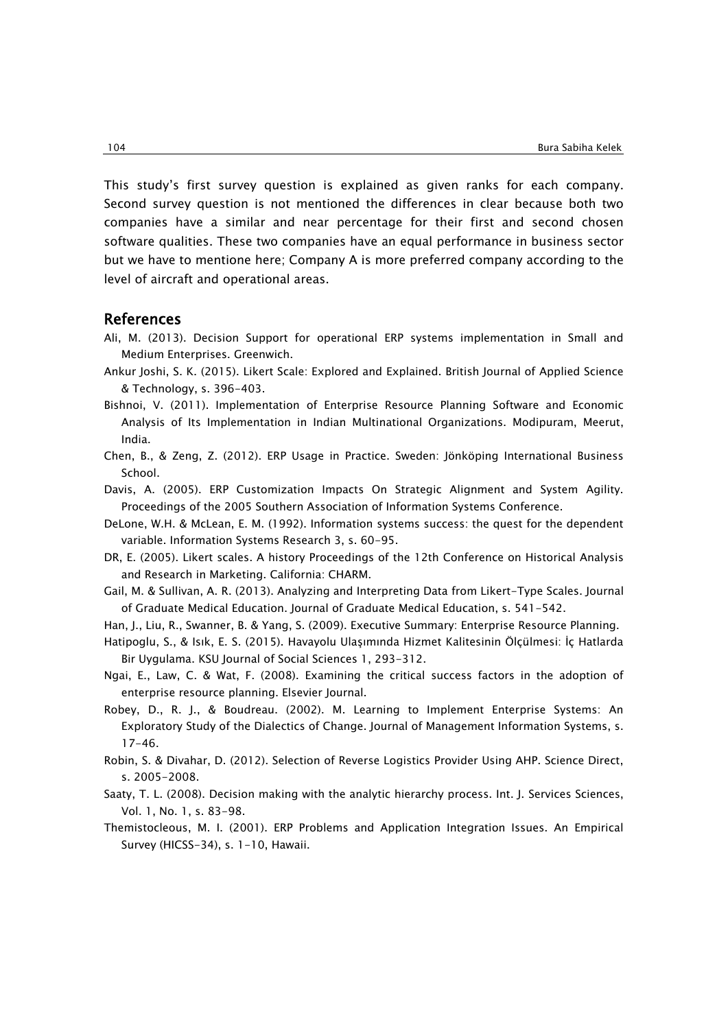This study's first survey question is explained as given ranks for each company. Second survey question is not mentioned the differences in clear because both two companies have a similar and near percentage for their first and second chosen software qualities. These two companies have an equal performance in business sector but we have to mentione here; Company A is more preferred company according to the level of aircraft and operational areas.

#### References

- Ali, M. (2013). Decision Support for operational ERP systems implementation in Small and Medium Enterprises. Greenwich.
- Ankur Joshi, S. K. (2015). Likert Scale: Explored and Explained. British Journal of Applied Science & Technology, s. 396-403.
- Bishnoi, V. (2011). Implementation of Enterprise Resource Planning Software and Economic Analysis of Its Implementation in Indian Multinational Organizations. Modipuram, Meerut, India.
- Chen, B., & Zeng, Z. (2012). ERP Usage in Practice. Sweden: Jönköping International Business School.
- Davis, A. (2005). ERP Customization Impacts On Strategic Alignment and System Agility. Proceedings of the 2005 Southern Association of Information Systems Conference.
- DeLone, W.H. & McLean, E. M. (1992). Information systems success: the quest for the dependent variable. Information Systems Research 3, s. 60-95.
- DR, E. (2005). Likert scales. A history Proceedings of the 12th Conference on Historical Analysis and Research in Marketing. California: CHARM.
- Gail, M. & Sullivan, A. R. (2013). Analyzing and Interpreting Data from Likert-Type Scales. Journal of Graduate Medical Education. Journal of Graduate Medical Education, s. 541-542.
- Han, J., Liu, R., Swanner, B. & Yang, S. (2009). Executive Summary: Enterprise Resource Planning.
- Hatipoglu, S., & Isık, E. S. (2015). Havayolu Ulaşımında Hizmet Kalitesinin Ölçülmesi: İç Hatlarda Bir Uygulama. KSU Journal of Social Sciences 1, 293-312.
- Ngai, E., Law, C. & Wat, F. (2008). Examining the critical success factors in the adoption of enterprise resource planning. Elsevier Journal.
- Robey, D., R. J., & Boudreau. (2002). M. Learning to Implement Enterprise Systems: An Exploratory Study of the Dialectics of Change. Journal of Management Information Systems, s. 17-46.
- Robin, S. & Divahar, D. (2012). Selection of Reverse Logistics Provider Using AHP. Science Direct, s. 2005-2008.
- Saaty, T. L. (2008). Decision making with the analytic hierarchy process. Int. J. Services Sciences, Vol. 1, No. 1, s. 83-98.
- Themistocleous, M. I. (2001). ERP Problems and Application Integration Issues. An Empirical Survey (HICSS-34), s. 1-10, Hawaii.